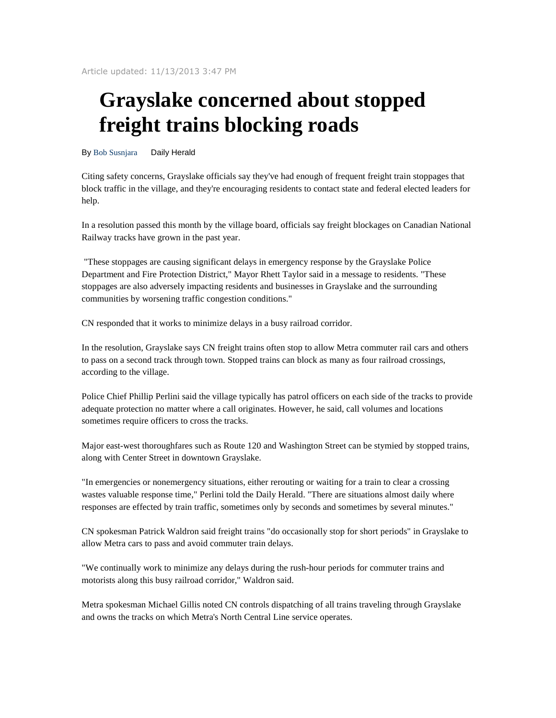Article updated: 11/13/2013 3:47 PM

## **Grayslake concerned about stopped freight trains blocking roads**

By Bob Susnjara Daily Herald

Citing safety concerns, Grayslake officials say they've had enough of frequent freight train stoppages that block traffic in the village, and they're encouraging residents to contact state and federal elected leaders for help.

In a resolution passed this month by the village board, officials say freight blockages on Canadian National Railway tracks have grown in the past year.

 "These stoppages are causing significant delays in emergency response by the Grayslake Police Department and Fire Protection District," Mayor Rhett Taylor said in a message to residents. "These stoppages are also adversely impacting residents and businesses in Grayslake and the surrounding communities by worsening traffic congestion conditions."

CN responded that it works to minimize delays in a busy railroad corridor.

In the resolution, Grayslake says CN freight trains often stop to allow Metra commuter rail cars and others to pass on a second track through town. Stopped trains can block as many as four railroad crossings, according to the village.

Police Chief Phillip Perlini said the village typically has patrol officers on each side of the tracks to provide adequate protection no matter where a call originates. However, he said, call volumes and locations sometimes require officers to cross the tracks.

Major east-west thoroughfares such as Route 120 and Washington Street can be stymied by stopped trains, along with Center Street in downtown Grayslake.

"In emergencies or nonemergency situations, either rerouting or waiting for a train to clear a crossing wastes valuable response time," Perlini told the Daily Herald. "There are situations almost daily where responses are effected by train traffic, sometimes only by seconds and sometimes by several minutes."

CN spokesman Patrick Waldron said freight trains "do occasionally stop for short periods" in Grayslake to allow Metra cars to pass and avoid commuter train delays.

"We continually work to minimize any delays during the rush-hour periods for commuter trains and motorists along this busy railroad corridor," Waldron said.

Metra spokesman Michael Gillis noted CN controls dispatching of all trains traveling through Grayslake and owns the tracks on which Metra's North Central Line service operates.